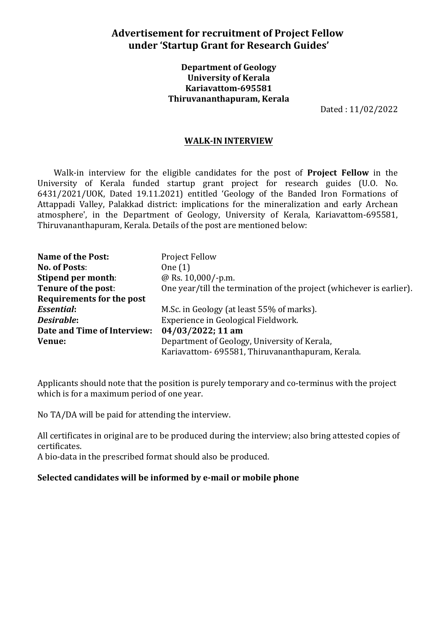# **Advertisement for recruitment of Project Fellow under 'Startup Grant for Research Guides'**

## **Department of Geology University of Kerala Kariavattom-695581 Thiruvananthapuram, Kerala**

Dated : 11/02/2022

#### **WALK-IN INTERVIEW**

Walk-in interview for the eligible candidates for the post of **Project Fellow** in the University of Kerala funded startup grant project for research guides (U.O. No. 6431/2021/UOK, Dated 19.11.2021) entitled 'Geology of the Banded Iron Formations of Attappadi Valley, Palakkad district: implications for the mineralization and early Archean atmosphere', in the Department of Geology, University of Kerala, Kariavattom-695581, Thiruvananthapuram, Kerala. Details of the post are mentioned below:

| Name of the Post:           | <b>Project Fellow</b>                                                |
|-----------------------------|----------------------------------------------------------------------|
| <b>No. of Posts:</b>        | One $(1)$                                                            |
| Stipend per month:          | @ Rs. 10,000/-p.m.                                                   |
| Tenure of the post:         | One year/till the termination of the project (whichever is earlier). |
| Requirements for the post   |                                                                      |
| <b>Essential:</b>           | M.Sc. in Geology (at least 55% of marks).                            |
| Desirable:                  | Experience in Geological Fieldwork.                                  |
| Date and Time of Interview: | 04/03/2022; 11 am                                                    |
| Venue:                      | Department of Geology, University of Kerala,                         |
|                             | Kariavattom- 695581, Thiruvananthapuram, Kerala.                     |

Applicants should note that the position is purely temporary and co-terminus with the project which is for a maximum period of one year.

No TA/DA will be paid for attending the interview.

All certificates in original are to be produced during the interview; also bring attested copies of certificates.

A bio-data in the prescribed format should also be produced.

#### **Selected candidates will be informed by e-mail or mobile phone**